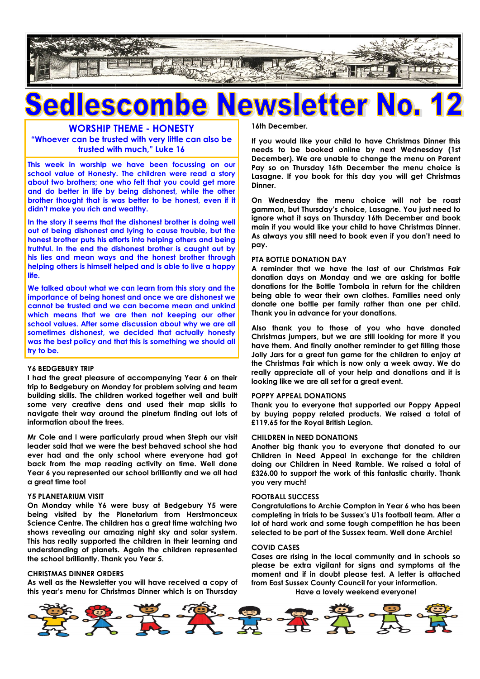

## ewsletter No. **20 25CO**

## **WORSHIP THEME - HONESTY**

**"Whoever can be trusted with very little can also be trusted with much," Luke 16**

**This week in worship we have been focussing on our school value of Honesty. The children were read a story about two brothers; one who felt that you could get more and do better in life by being dishonest, while the other brother thought that is was better to be honest, even if it didn't make you rich and wealthy.**

**In the story it seems that the dishonest brother is doing well out of being dishonest and lying to cause trouble, but the honest brother puts his efforts into helping others and being truthful. In the end the dishonest brother is caught out by his lies and mean ways and the honest brother through helping others is himself helped and is able to live a happy life.**

**We talked about what we can learn from this story and the importance of being honest and once we are dishonest we cannot be trusted and we can become mean and unkind which means that we are then not keeping our other school values. After some discussion about why we are all sometimes dishonest, we decided that actually honesty was the best policy and that this is something we should all try to be.**

#### **Y6 BEDGEBURY TRIP**

**I had the great pleasure of accompanying Year 6 on their trip to Bedgebury on Monday for problem solving and team building skills. The children worked together well and built some very creative dens and used their map skills to navigate their way around the pinetum finding out lots of information about the trees.**

**Mr Cole and I were particularly proud when Steph our visit leader said that we were the best behaved school she had ever had and the only school where everyone had got back from the map reading activity on time. Well done Year 6 you represented our school brilliantly and we all had a great time too!**

#### **Y5 PLANETARIUM VISIT**

**On Monday while Y6 were busy at Bedgebury Y5 were being visited by the Planetarium from Herstmonceux Science Centre. The children has a great time watching two shows revealing our amazing night sky and solar system. This has really supported the children in their learning and understanding of planets. Again the children represented the school brilliantly. Thank you Year 5.**

#### **CHRISTMAS DINNER ORDERS**

**As well as the Newsletter you will have received a copy of this year's menu for Christmas Dinner which is on Thursday**  **16th December.**

**If you would like your child to have Christmas Dinner this needs to be booked online by next Wednesday (1st December). We are unable to change the menu on Parent Pay so on Thursday 16th December the menu choice is Lasagne. If you book for this day you will get Christmas Dinner.**

**On Wednesday the menu choice will not be roast gammon, but Thursday's choice, Lasagne. You just need to ignore what it says on Thursday 16th December and book main if you would like your child to have Christmas Dinner. As always you still need to book even if you don't need to pay.**

#### **PTA BOTTLE DONATION DAY**

**A reminder that we have the last of our Christmas Fair donation days on Monday and we are asking for bottle donations for the Bottle Tombola in return for the children being able to wear their own clothes. Families need only donate one bottle per family rather than one per child. Thank you in advance for your donations.**

**Also thank you to those of you who have donated Christmas jumpers, but we are still looking for more if you have them. And finally another reminder to get filling those Jolly Jars for a great fun game for the children to enjoy at the Christmas Fair which is now only a week away. We do really appreciate all of your help and donations and it is looking like we are all set for a great event.**

#### **POPPY APPEAL DONATIONS**

**Thank you to everyone that supported our Poppy Appeal by buying poppy related products. We raised a total of £119.65 for the Royal British Legion.**

#### **CHILDREN in NEED DONATIONS**

**Another big thank you to everyone that donated to our Children in Need Appeal in exchange for the children doing our Children in Need Ramble. We raised a total of £326.00 to support the work of this fantastic charity. Thank you very much!**

#### **FOOTBALL SUCCESS**

**Congratulations to Archie Compton in Year 6 who has been completing in trials to be Sussex's U1s football team. After a lot of hard work and some tough competition he has been selected to be part of the Sussex team. Well done Archie!**

#### **COVID CASES**

**Cases are rising in the local community and in schools so please be extra vigilant for signs and symptoms at the moment and if in doubt please test. A letter is attached from East Sussex County Council for your information. Have a lovely weekend everyone!**